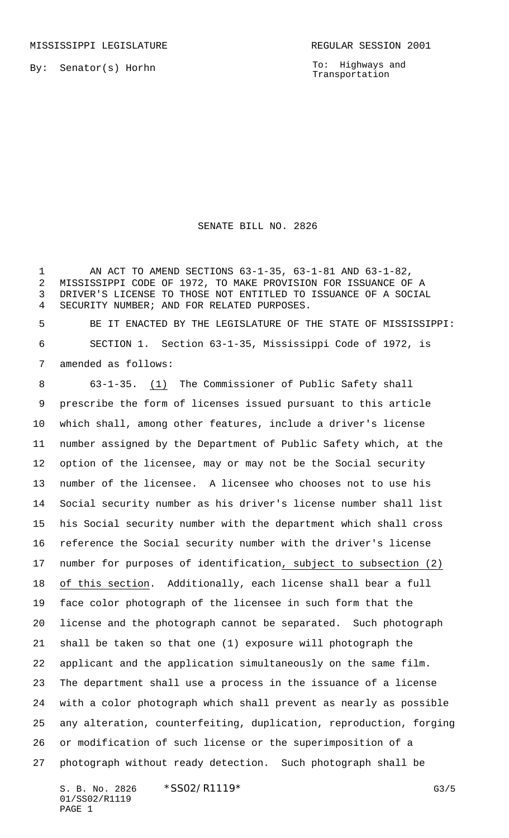By: Senator(s) Horhn

To: Highways and Transportation

## SENATE BILL NO. 2826

 AN ACT TO AMEND SECTIONS 63-1-35, 63-1-81 AND 63-1-82, MISSISSIPPI CODE OF 1972, TO MAKE PROVISION FOR ISSUANCE OF A DRIVER'S LICENSE TO THOSE NOT ENTITLED TO ISSUANCE OF A SOCIAL SECURITY NUMBER; AND FOR RELATED PURPOSES.

 BE IT ENACTED BY THE LEGISLATURE OF THE STATE OF MISSISSIPPI: SECTION 1. Section 63-1-35, Mississippi Code of 1972, is amended as follows:

 63-1-35. (1) The Commissioner of Public Safety shall prescribe the form of licenses issued pursuant to this article which shall, among other features, include a driver's license number assigned by the Department of Public Safety which, at the option of the licensee, may or may not be the Social security number of the licensee. A licensee who chooses not to use his Social security number as his driver's license number shall list his Social security number with the department which shall cross reference the Social security number with the driver's license number for purposes of identification, subject to subsection (2) of this section. Additionally, each license shall bear a full face color photograph of the licensee in such form that the license and the photograph cannot be separated. Such photograph shall be taken so that one (1) exposure will photograph the applicant and the application simultaneously on the same film. The department shall use a process in the issuance of a license with a color photograph which shall prevent as nearly as possible any alteration, counterfeiting, duplication, reproduction, forging or modification of such license or the superimposition of a photograph without ready detection. Such photograph shall be

S. B. No. 2826 \* SSO2/R1119\* G3/5 01/SS02/R1119 PAGE 1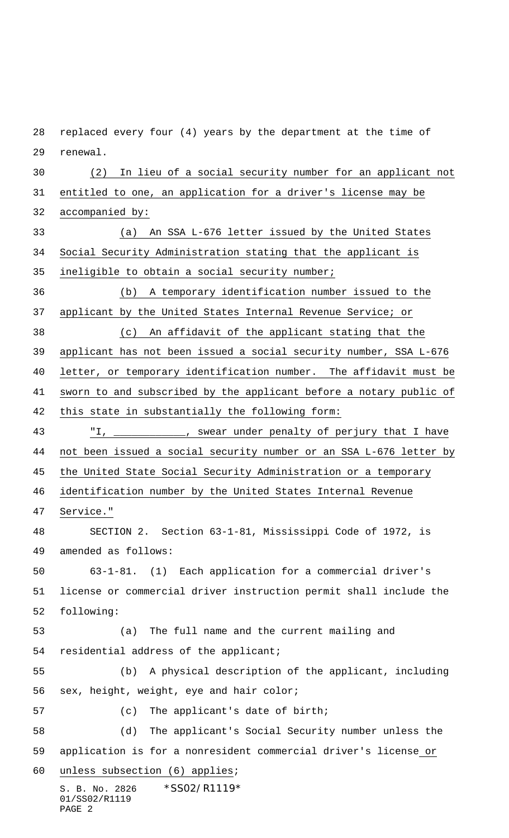S. B. No. 2826 \*SS02/R1119\* 01/SS02/R1119 PAGE 2 replaced every four (4) years by the department at the time of renewal. (2) In lieu of a social security number for an applicant not entitled to one, an application for a driver's license may be accompanied by: (a) An SSA L-676 letter issued by the United States Social Security Administration stating that the applicant is ineligible to obtain a social security number; (b) A temporary identification number issued to the applicant by the United States Internal Revenue Service; or (c) An affidavit of the applicant stating that the applicant has not been issued a social security number, SSA L-676 letter, or temporary identification number. The affidavit must be sworn to and subscribed by the applicant before a notary public of this state in substantially the following form: "I, \_\_\_\_\_\_\_\_\_\_\_\_, swear under penalty of perjury that I have not been issued a social security number or an SSA L-676 letter by 45 the United State Social Security Administration or a temporary identification number by the United States Internal Revenue Service." SECTION 2. Section 63-1-81, Mississippi Code of 1972, is amended as follows: 63-1-81. (1) Each application for a commercial driver's license or commercial driver instruction permit shall include the following: (a) The full name and the current mailing and residential address of the applicant; (b) A physical description of the applicant, including sex, height, weight, eye and hair color; (c) The applicant's date of birth; (d) The applicant's Social Security number unless the application is for a nonresident commercial driver's license or unless subsection (6) applies;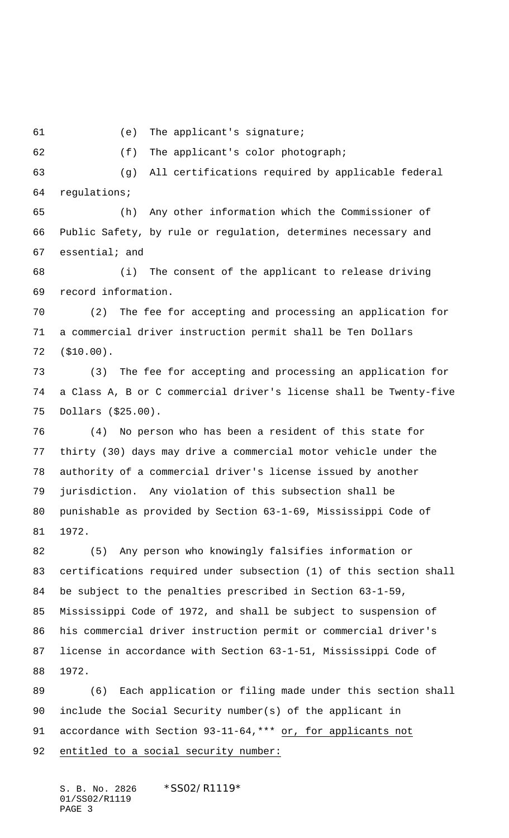(e) The applicant's signature;

(f) The applicant's color photograph;

 (g) All certifications required by applicable federal regulations;

 (h) Any other information which the Commissioner of Public Safety, by rule or regulation, determines necessary and essential; and

 (i) The consent of the applicant to release driving record information.

 (2) The fee for accepting and processing an application for a commercial driver instruction permit shall be Ten Dollars (\$10.00).

 (3) The fee for accepting and processing an application for a Class A, B or C commercial driver's license shall be Twenty-five Dollars (\$25.00).

 (4) No person who has been a resident of this state for thirty (30) days may drive a commercial motor vehicle under the authority of a commercial driver's license issued by another jurisdiction. Any violation of this subsection shall be punishable as provided by Section 63-1-69, Mississippi Code of 1972.

 (5) Any person who knowingly falsifies information or certifications required under subsection (1) of this section shall be subject to the penalties prescribed in Section 63-1-59, Mississippi Code of 1972, and shall be subject to suspension of his commercial driver instruction permit or commercial driver's license in accordance with Section 63-1-51, Mississippi Code of 1972.

 (6) Each application or filing made under this section shall include the Social Security number(s) of the applicant in 91 accordance with Section 93-11-64, \*\*\* or, for applicants not 92 entitled to a social security number:

S. B. No. 2826 \* SS02/R1119\* 01/SS02/R1119 PAGE 3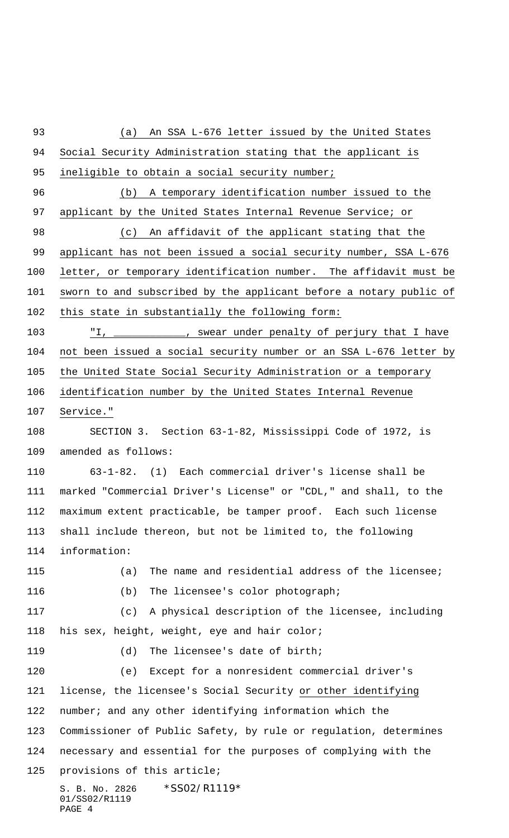S. B. No. 2826 \*SS02/R1119\* 01/SS02/R1119 PAGE 4 (a) An SSA L-676 letter issued by the United States Social Security Administration stating that the applicant is 95 ineligible to obtain a social security number; (b) A temporary identification number issued to the 97 applicant by the United States Internal Revenue Service; or (c) An affidavit of the applicant stating that the applicant has not been issued a social security number, SSA L-676 letter, or temporary identification number. The affidavit must be sworn to and subscribed by the applicant before a notary public of 102 this state in substantially the following form: "I, \_\_\_\_\_\_\_\_\_\_\_\_, swear under penalty of perjury that I have not been issued a social security number or an SSA L-676 letter by the United State Social Security Administration or a temporary identification number by the United States Internal Revenue Service." SECTION 3. Section 63-1-82, Mississippi Code of 1972, is amended as follows: 63-1-82. (1) Each commercial driver's license shall be marked "Commercial Driver's License" or "CDL," and shall, to the maximum extent practicable, be tamper proof. Each such license shall include thereon, but not be limited to, the following information: (a) The name and residential address of the licensee; (b) The licensee's color photograph; (c) A physical description of the licensee, including his sex, height, weight, eye and hair color; (d) The licensee's date of birth; (e) Except for a nonresident commercial driver's license, the licensee's Social Security or other identifying number; and any other identifying information which the Commissioner of Public Safety, by rule or regulation, determines necessary and essential for the purposes of complying with the provisions of this article;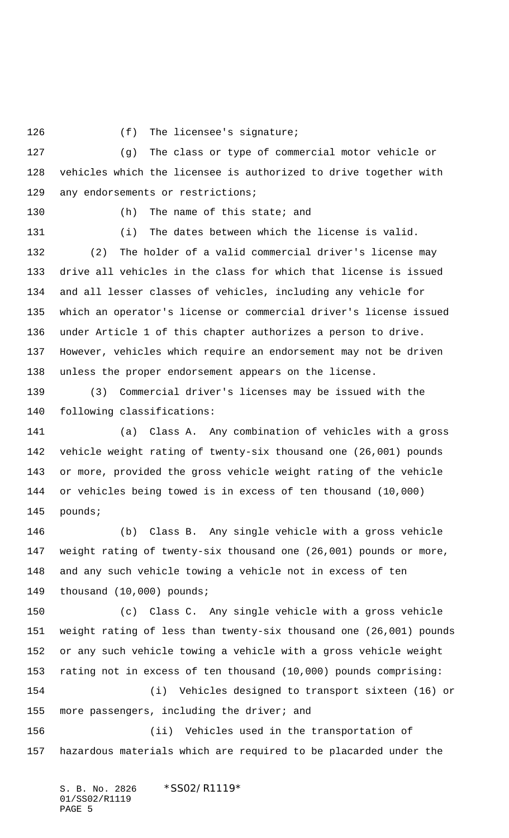126 (f) The licensee's signature;

 (g) The class or type of commercial motor vehicle or vehicles which the licensee is authorized to drive together with 129 any endorsements or restrictions;

130 (h) The name of this state; and

 (i) The dates between which the license is valid. (2) The holder of a valid commercial driver's license may drive all vehicles in the class for which that license is issued and all lesser classes of vehicles, including any vehicle for which an operator's license or commercial driver's license issued under Article 1 of this chapter authorizes a person to drive. However, vehicles which require an endorsement may not be driven unless the proper endorsement appears on the license.

 (3) Commercial driver's licenses may be issued with the following classifications:

 (a) Class A. Any combination of vehicles with a gross vehicle weight rating of twenty-six thousand one (26,001) pounds or more, provided the gross vehicle weight rating of the vehicle or vehicles being towed is in excess of ten thousand (10,000) pounds;

 (b) Class B. Any single vehicle with a gross vehicle weight rating of twenty-six thousand one (26,001) pounds or more, and any such vehicle towing a vehicle not in excess of ten thousand (10,000) pounds;

 (c) Class C. Any single vehicle with a gross vehicle weight rating of less than twenty-six thousand one (26,001) pounds or any such vehicle towing a vehicle with a gross vehicle weight rating not in excess of ten thousand (10,000) pounds comprising: (i) Vehicles designed to transport sixteen (16) or

155 more passengers, including the driver; and

 (ii) Vehicles used in the transportation of hazardous materials which are required to be placarded under the

S. B. No. 2826 \*SS02/R1119\* 01/SS02/R1119 PAGE 5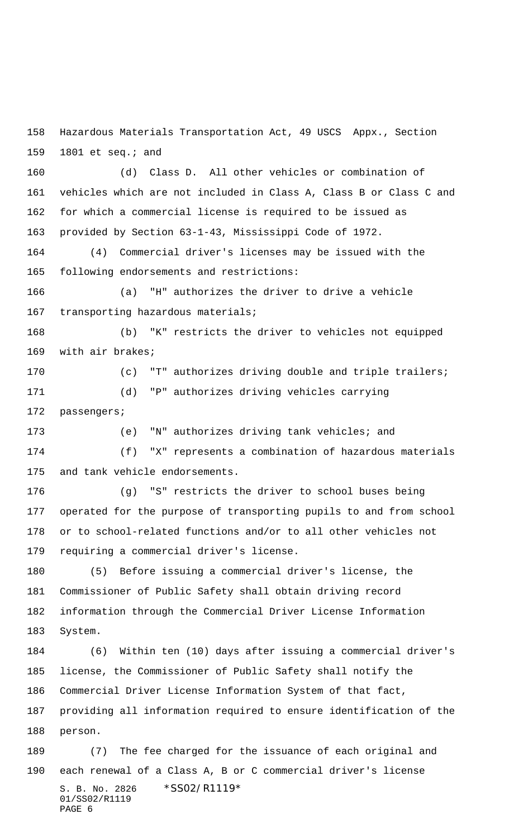Hazardous Materials Transportation Act, 49 USCS Appx., Section 1801 et seq.; and

 (d) Class D. All other vehicles or combination of vehicles which are not included in Class A, Class B or Class C and for which a commercial license is required to be issued as provided by Section 63-1-43, Mississippi Code of 1972.

 (4) Commercial driver's licenses may be issued with the following endorsements and restrictions:

 (a) "H" authorizes the driver to drive a vehicle 167 transporting hazardous materials;

 (b) "K" restricts the driver to vehicles not equipped with air brakes;

 (c) "T" authorizes driving double and triple trailers; (d) "P" authorizes driving vehicles carrying passengers;

 (e) "N" authorizes driving tank vehicles; and (f) "X" represents a combination of hazardous materials and tank vehicle endorsements.

 (g) "S" restricts the driver to school buses being operated for the purpose of transporting pupils to and from school or to school-related functions and/or to all other vehicles not requiring a commercial driver's license.

 (5) Before issuing a commercial driver's license, the Commissioner of Public Safety shall obtain driving record information through the Commercial Driver License Information System.

 (6) Within ten (10) days after issuing a commercial driver's license, the Commissioner of Public Safety shall notify the Commercial Driver License Information System of that fact, providing all information required to ensure identification of the person.

S. B. No. 2826 \*SS02/R1119\* 01/SS02/R1119 PAGE 6 (7) The fee charged for the issuance of each original and each renewal of a Class A, B or C commercial driver's license